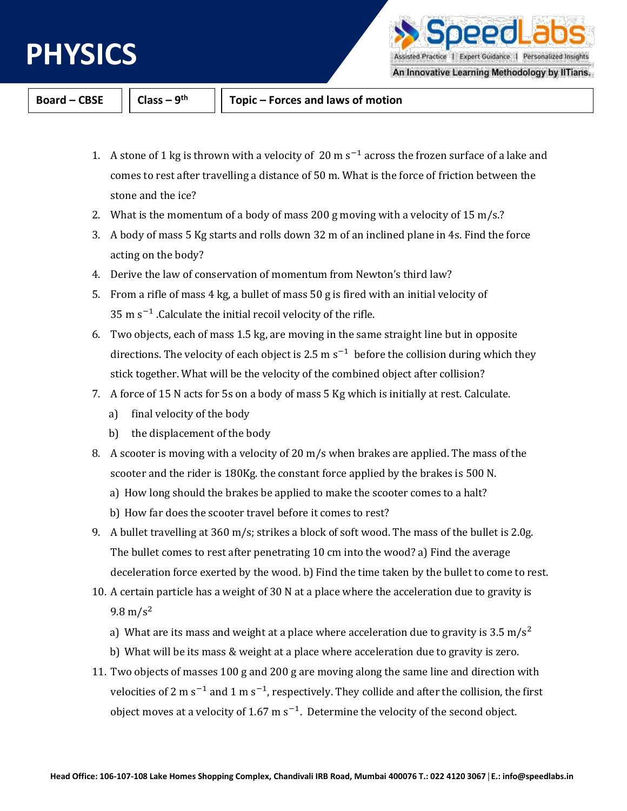

ρρι Assisted Practice | Expert Guidance | Personalized Insights

An Innovative Learning Methodology by IITians.

**Board – CBSE Class – 9**

**th Topic – Forces and laws of motion**

- 1. A stone of 1 kg is thrown with a velocity of 20 m  $s^{-1}$  across the frozen surface of a lake and comes to rest after travelling a distance of 50 m. What is the force of friction between the stone and the ice?
- 2. What is the momentum of a body of mass 200 g moving with a velocity of 15 m/s.?
- 3. A body of mass 5 Kg starts and rolls down 32 m of an inclined plane in 4s. Find the force acting on the body?
- 4. Derive the law of conservation of momentum from Newton's third law?
- 5. From a rifle of mass 4 kg, a bullet of mass 50 g is fired with an initial velocity of 35 m  $s^{-1}$  . Calculate the initial recoil velocity of the rifle.
- 6. Two objects, each of mass 1.5 kg, are moving in the same straight line but in opposite directions. The velocity of each object is 2.5 m  $s^{-1}$  before the collision during which they stick together. What will be the velocity of the combined object after collision?
- 7. A force of 15 N acts for 5s on a body of mass 5 Kg which is initially at rest. Calculate.
	- a) final velocity of the body
	- b) the displacement of the body
- 8. A scooter is moving with a velocity of 20 m/s when brakes are applied. The mass of the scooter and the rider is 180Kg. the constant force applied by the brakes is 500 N.
	- a) How long should the brakes be applied to make the scooter comes to a halt?
	- b) How far does the scooter travel before it comes to rest?
- 9. A bullet travelling at 360 m/s; strikes a block of soft wood. The mass of the bullet is 2.0g. The bullet comes to rest after penetrating 10 cm into the wood? a) Find the average deceleration force exerted by the wood. b) Find the time taken by the bullet to come to rest.
- 10. A certain particle has a weight of 30 N at a place where the acceleration due to gravity is  $9.8 \,\mathrm{m/s^2}$ 
	- a) What are its mass and weight at a place where acceleration due to gravity is 3.5 m/s<sup>2</sup>
	- b) What will be its mass & weight at a place where acceleration due to gravity is zero.
- 11. Two objects of masses 100 g and 200 g are moving along the same line and direction with velocities of 2 m s<sup>-1</sup> and 1 m s<sup>-1</sup>, respectively. They collide and after the collision, the first object moves at a velocity of 1.67 m  $s^{-1}$ . Determine the velocity of the second object.